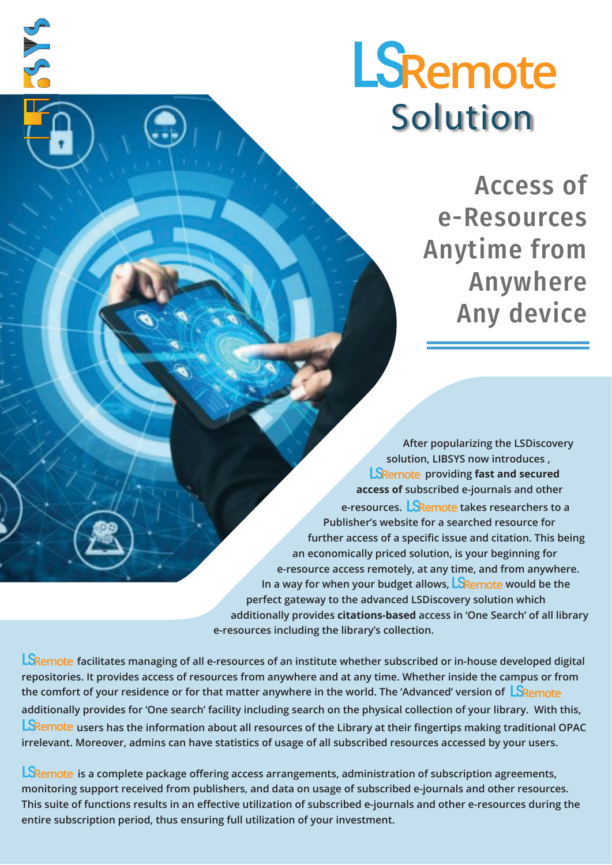# **Solution** LS**Remote**

Access of e-Resources Anytime from Anywhere Any device

**After popularizing the LSDiscovery solution, LIBSYS now introduces , LSRemote** providing fast and secured **access of subscribed e-journals and other**  e-resources. <mark>LS</mark>Remote takes researchers to a **Publisher's website for a searched resource for further access of a specific issue and citation. This being an economically priced solution, is your beginning for e-resource access remotely, at any time, and from anywhere.**  In a way for when your budget allows, <mark>LSRemote</mark> would be the **perfect gateway to the advanced LSDiscovery solution which additionally provides citations-based access in 'One Search' of all library e-resources including the library's collection.**

LSRemote facilitates managing of all e-resources of an institute whether subscribed or in-house developed digital **repositories. It provides access of resources from anywhere and at any time. Whether inside the campus or from the comfort of your residence or for that matter anywhere in the world. The 'Advanced' version of**  LS**Remote additionally provides for 'One search' facility including search on the physical collection of your library. With this, users has the information about all resources of the Library at their fingertips making traditional OPAC**  LS**Remote irrelevant. Moreover, admins can have statistics of usage of all subscribed resources accessed by your users.**

3 A S

**LSRemote** is a complete package offering access arrangements, administration of subscription agreements, **monitoring support received from publishers, and data on usage of subscribed e-journals and other resources. This suite of functions results in an effective utilization of subscribed e-journals and other e-resources during the entire subscription period, thus ensuring full utilization of your investment.**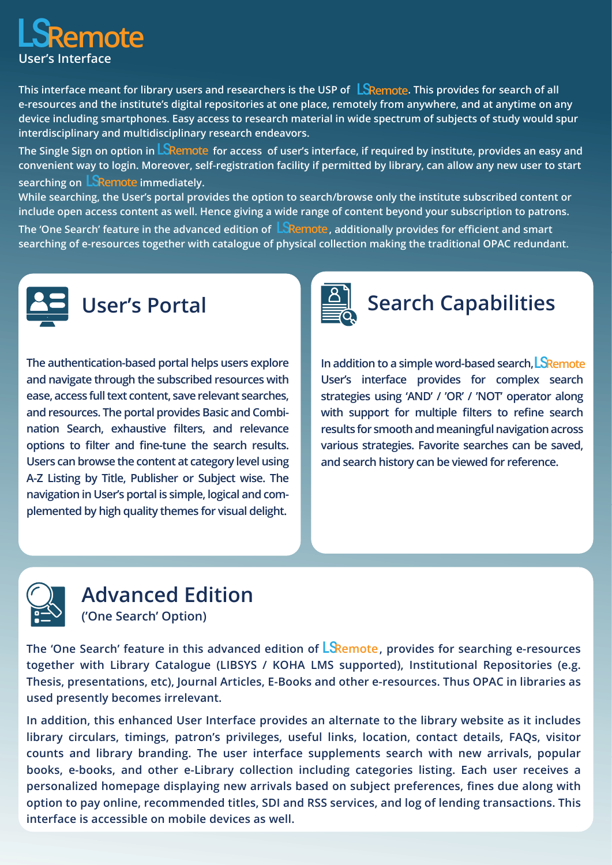

This interface meant for library users and researchers is the USP of  $\;$  L $\;$ SRemote. This provides for search of all **e-resources and the institute's digital repositories at one place, remotely from anywhere, and at anytime on any device including smartphones. Easy access to research material in wide spectrum of subjects of study would spur interdisciplinary and multidisciplinary research endeavors.**

The Single Sign on option in <mark>LSRemote</mark> for access of user's interface, if required by institute, provides an easy and **convenient way to login. Moreover, self-registration facility if permitted by library, can allow any new user to start**  searching on **LSRemote** immediately.

**While searching, the User's portal provides the option to search/browse only the institute subscribed content or include open access content as well. Hence giving a wide range of content beyond your subscription to patrons.**  The 'One Search' feature in the advanced edition of  $\mathsf{LS}$ Remote, additionally provides for efficient and smart **searching of e-resources together with catalogue of physical collection making the traditional OPAC redundant.**



**The authentication-based portal helps users explore and navigate through the subscribed resources with ease, access full text content, save relevant searches, and resources. The portal provides Basic and Combination Search, exhaustive filters, and relevance options to filter and fine-tune the search results. Users can browse the content at category level using A-Z Listing by Title, Publisher or Subject wise. The navigation in User's portal is simple, logical and complemented by high quality themes for visual delight.**



# **Search Capabilities**

**In addition to a simple word-based search,**  LS**Remote User's interface provides for complex search strategies using 'AND' / 'OR' / 'NOT' operator along with support for multiple filters to refine search results for smooth and meaningful navigation across various strategies. Favorite searches can be saved, and search history can be viewed for reference.**



#### **Advanced Edition ('One Search' Option)**

The 'One Search' feature in this advanced edition of LSRemote, provides for searching e-resources **together with Library Catalogue (LIBSYS / KOHA LMS supported), Institutional Repositories (e.g. Thesis, presentations, etc), Journal Articles, E-Books and other e-resources. Thus OPAC in libraries as used presently becomes irrelevant.** 

**In addition, this enhanced User Interface provides an alternate to the library website as it includes library circulars, timings, patron's privileges, useful links, location, contact details, FAQs, visitor counts and library branding. The user interface supplements search with new arrivals, popular books, e-books, and other e-Library collection including categories listing. Each user receives a personalized homepage displaying new arrivals based on subject preferences, fines due along with option to pay online, recommended titles, SDI and RSS services, and log of lending transactions. This interface is accessible on mobile devices as well.**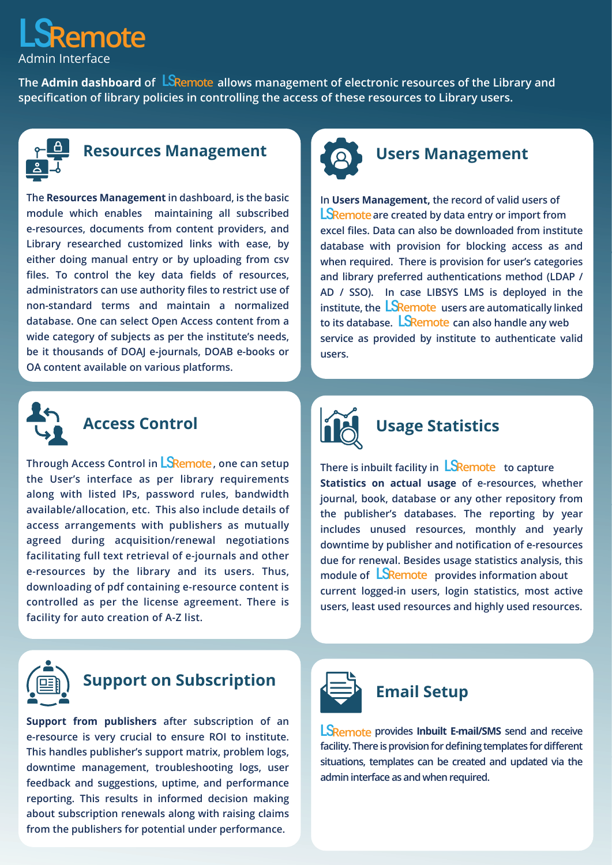# Admin Interface LS**Remote**

The **Admin dashboard** of  $\overline{\mathsf{LS}}$ Remote allows management of electronic resources of the Library and **specification of library policies in controlling the access of these resources to Library users.**



#### **Resources Management**

**The Resources Management in dashboard, is the basic module which enables maintaining all subscribed e-resources, documents from content providers, and Library researched customized links with ease, by either doing manual entry or by uploading from csv files. To control the key data fields of resources, administrators can use authority files to restrict use of non-standard terms and maintain a normalized database. One can select Open Access content from a wide category of subjects as per the institute's needs, be it thousands of DOAJ e-journals, DOAB e-books or OA content available on various platforms.**



### **Users Management**

**In Users Management, the record of valid users of LSRemote** are created by data entry or import from **excel files. Data can also be downloaded from institute database with provision for blocking access as and when required. There is provision for user's categories and library preferred authentications method (LDAP / AD / SSO). In case LIBSYS LMS is deployed in the**  institute, the **LSRemote** users are automatically linked to its database.  $\mathsf{LSRemote}$  can also handle any web **service as provided by institute to authenticate valid users.**



#### **Access Control**

Through Access Control in <mark>LSRemote</mark> , one can setup **the User's interface as per library requirements along with listed IPs, password rules, bandwidth available/allocation, etc. This also include details of access arrangements with publishers as mutually agreed during acquisition/renewal negotiations facilitating full text retrieval of e-journals and other e-resources by the library and its users. Thus, downloading of pdf containing e-resource content is controlled as per the license agreement. There is facility for auto creation of A-Z list.**



## **Usage Statistics**

There is inbuilt facility in **LSRemote** to capture **Statistics on actual usage of e-resources, whether journal, book, database or any other repository from the publisher's databases. The reporting by year includes unused resources, monthly and yearly downtime by publisher and notification of e-resources due for renewal. Besides usage statistics analysis, this**  module of **LSRemote** provides information about **current logged-in users, login statistics, most active users, least used resources and highly used resources.**



### **Support on Subscription**

**Support from publishers after subscription of an e-resource is very crucial to ensure ROI to institute. This handles publisher's support matrix, problem logs, downtime management, troubleshooting logs, user feedback and suggestions, uptime, and performance reporting. This results in informed decision making about subscription renewals along with raising claims from the publishers for potential under performance.**



#### **Email Setup**

 **provides Inbuilt E-mail/SMS send and receive**  LS**Remote facility. There is provision for defining templates for different situations, templates can be created and updated via the admin interface as and when required.**